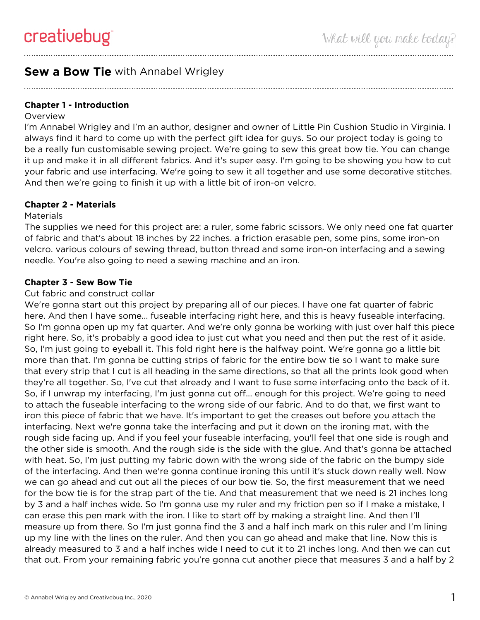# **Sew a Bow Tie** with Annabel Wrigley

## **Chapter 1 - Introduction**

#### Overview

I'm Annabel Wrigley and I'm an author, designer and owner of Little Pin Cushion Studio in Virginia. I always find it hard to come up with the perfect gift idea for guys. So our project today is going to be a really fun customisable sewing project. We're going to sew this great bow tie. You can change it up and make it in all different fabrics. And it's super easy. I'm going to be showing you how to cut your fabric and use interfacing. We're going to sew it all together and use some decorative stitches. And then we're going to finish it up with a little bit of iron-on velcro.

## **Chapter 2 - Materials**

#### **Materials**

The supplies we need for this project are: a ruler, some fabric scissors. We only need one fat quarter of fabric and that's about 18 inches by 22 inches. a friction erasable pen, some pins, some iron-on velcro. various colours of sewing thread, button thread and some iron-on interfacing and a sewing needle. You're also going to need a sewing machine and an iron.

### **Chapter 3 - Sew Bow Tie**

#### Cut fabric and construct collar

We're gonna start out this project by preparing all of our pieces. I have one fat quarter of fabric here. And then I have some... fuseable interfacing right here, and this is heavy fuseable interfacing. So I'm gonna open up my fat quarter. And we're only gonna be working with just over half this piece right here. So, it's probably a good idea to just cut what you need and then put the rest of it aside. So, I'm just going to eyeball it. This fold right here is the halfway point. We're gonna go a little bit more than that. I'm gonna be cutting strips of fabric for the entire bow tie so I want to make sure that every strip that I cut is all heading in the same directions, so that all the prints look good when they're all together. So, I've cut that already and I want to fuse some interfacing onto the back of it. So, if I unwrap my interfacing, I'm just gonna cut off... enough for this project. We're going to need to attach the fuseable interfacing to the wrong side of our fabric. And to do that, we first want to iron this piece of fabric that we have. It's important to get the creases out before you attach the interfacing. Next we're gonna take the interfacing and put it down on the ironing mat, with the rough side facing up. And if you feel your fuseable interfacing, you'll feel that one side is rough and the other side is smooth. And the rough side is the side with the glue. And that's gonna be attached with heat. So, I'm just putting my fabric down with the wrong side of the fabric on the bumpy side of the interfacing. And then we're gonna continue ironing this until it's stuck down really well. Now we can go ahead and cut out all the pieces of our bow tie. So, the first measurement that we need for the bow tie is for the strap part of the tie. And that measurement that we need is 21 inches long by 3 and a half inches wide. So I'm gonna use my ruler and my friction pen so if I make a mistake, I can erase this pen mark with the iron. I like to start off by making a straight line. And then I'll measure up from there. So I'm just gonna find the 3 and a half inch mark on this ruler and I'm lining up my line with the lines on the ruler. And then you can go ahead and make that line. Now this is already measured to 3 and a half inches wide I need to cut it to 21 inches long. And then we can cut that out. From your remaining fabric you're gonna cut another piece that measures 3 and a half by 2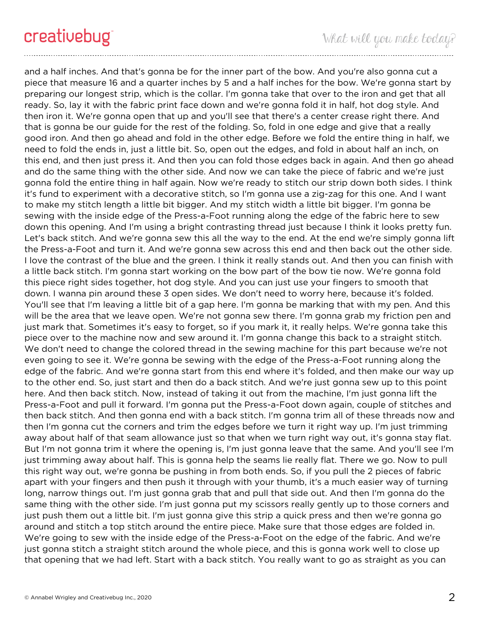and a half inches. And that's gonna be for the inner part of the bow. And you're also gonna cut a piece that measure 16 and a quarter inches by 5 and a half inches for the bow. We're gonna start by preparing our longest strip, which is the collar. I'm gonna take that over to the iron and get that all ready. So, lay it with the fabric print face down and we're gonna fold it in half, hot dog style. And then iron it. We're gonna open that up and you'll see that there's a center crease right there. And that is gonna be our guide for the rest of the folding. So, fold in one edge and give that a really good iron. And then go ahead and fold in the other edge. Before we fold the entire thing in half, we need to fold the ends in, just a little bit. So, open out the edges, and fold in about half an inch, on this end, and then just press it. And then you can fold those edges back in again. And then go ahead and do the same thing with the other side. And now we can take the piece of fabric and we're just gonna fold the entire thing in half again. Now we're ready to stitch our strip down both sides. I think it's fund to experiment with a decorative stitch, so I'm gonna use a zig-zag for this one. And I want to make my stitch length a little bit bigger. And my stitch width a little bit bigger. I'm gonna be sewing with the inside edge of the Press-a-Foot running along the edge of the fabric here to sew down this opening. And I'm using a bright contrasting thread just because I think it looks pretty fun. Let's back stitch. And we're gonna sew this all the way to the end. At the end we're simply gonna lift the Press-a-Foot and turn it. And we're gonna sew across this end and then back out the other side. I love the contrast of the blue and the green. I think it really stands out. And then you can finish with a little back stitch. I'm gonna start working on the bow part of the bow tie now. We're gonna fold this piece right sides together, hot dog style. And you can just use your fingers to smooth that down. I wanna pin around these 3 open sides. We don't need to worry here, because it's folded. You'll see that I'm leaving a little bit of a gap here. I'm gonna be marking that with my pen. And this will be the area that we leave open. We're not gonna sew there. I'm gonna grab my friction pen and just mark that. Sometimes it's easy to forget, so if you mark it, it really helps. We're gonna take this piece over to the machine now and sew around it. I'm gonna change this back to a straight stitch. We don't need to change the colored thread in the sewing machine for this part because we're not even going to see it. We're gonna be sewing with the edge of the Press-a-Foot running along the edge of the fabric. And we're gonna start from this end where it's folded, and then make our way up to the other end. So, just start and then do a back stitch. And we're just gonna sew up to this point here. And then back stitch. Now, instead of taking it out from the machine, I'm just gonna lift the Press-a-Foot and pull it forward. I'm gonna put the Press-a-Foot down again, couple of stitches and then back stitch. And then gonna end with a back stitch. I'm gonna trim all of these threads now and then I'm gonna cut the corners and trim the edges before we turn it right way up. I'm just trimming away about half of that seam allowance just so that when we turn right way out, it's gonna stay flat. But I'm not gonna trim it where the opening is, I'm just gonna leave that the same. And you'll see I'm just trimming away about half. This is gonna help the seams lie really flat. There we go. Now to pull this right way out, we're gonna be pushing in from both ends. So, if you pull the 2 pieces of fabric apart with your fingers and then push it through with your thumb, it's a much easier way of turning long, narrow things out. I'm just gonna grab that and pull that side out. And then I'm gonna do the same thing with the other side. I'm just gonna put my scissors really gently up to those corners and just push them out a little bit. I'm just gonna give this strip a quick press and then we're gonna go around and stitch a top stitch around the entire piece. Make sure that those edges are folded in. We're going to sew with the inside edge of the Press-a-Foot on the edge of the fabric. And we're just gonna stitch a straight stitch around the whole piece, and this is gonna work well to close up that opening that we had left. Start with a back stitch. You really want to go as straight as you can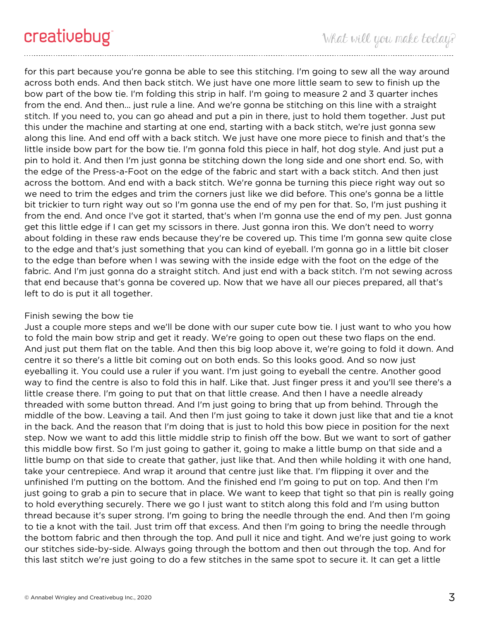for this part because you're gonna be able to see this stitching. I'm going to sew all the way around across both ends. And then back stitch. We just have one more little seam to sew to finish up the bow part of the bow tie. I'm folding this strip in half. I'm going to measure 2 and 3 quarter inches from the end. And then... just rule a line. And we're gonna be stitching on this line with a straight stitch. If you need to, you can go ahead and put a pin in there, just to hold them together. Just put this under the machine and starting at one end, starting with a back stitch, we're just gonna sew along this line. And end off with a back stitch. We just have one more piece to finish and that's the little inside bow part for the bow tie. I'm gonna fold this piece in half, hot dog style. And just put a pin to hold it. And then I'm just gonna be stitching down the long side and one short end. So, with the edge of the Press-a-Foot on the edge of the fabric and start with a back stitch. And then just across the bottom. And end with a back stitch. We're gonna be turning this piece right way out so we need to trim the edges and trim the corners just like we did before. This one's gonna be a little bit trickier to turn right way out so I'm gonna use the end of my pen for that. So, I'm just pushing it from the end. And once I've got it started, that's when I'm gonna use the end of my pen. Just gonna get this little edge if I can get my scissors in there. Just gonna iron this. We don't need to worry about folding in these raw ends because they're be covered up. This time I'm gonna sew quite close to the edge and that's just something that you can kind of eyeball. I'm gonna go in a little bit closer to the edge than before when I was sewing with the inside edge with the foot on the edge of the fabric. And I'm just gonna do a straight stitch. And just end with a back stitch. I'm not sewing across that end because that's gonna be covered up. Now that we have all our pieces prepared, all that's left to do is put it all together.

#### Finish sewing the bow tie

Just a couple more steps and we'll be done with our super cute bow tie. I just want to who you how to fold the main bow strip and get it ready. We're going to open out these two flaps on the end. And just put them flat on the table. And then this big loop above it, we're going to fold it down. And centre it so there's a little bit coming out on both ends. So this looks good. And so now just eyeballing it. You could use a ruler if you want. I'm just going to eyeball the centre. Another good way to find the centre is also to fold this in half. Like that. Just finger press it and you'll see there's a little crease there. I'm going to put that on that little crease. And then I have a needle already threaded with some button thread. And I'm just going to bring that up from behind. Through the middle of the bow. Leaving a tail. And then I'm just going to take it down just like that and tie a knot in the back. And the reason that I'm doing that is just to hold this bow piece in position for the next step. Now we want to add this little middle strip to finish off the bow. But we want to sort of gather this middle bow first. So I'm just going to gather it, going to make a little bump on that side and a little bump on that side to create that gather, just like that. And then while holding it with one hand, take your centrepiece. And wrap it around that centre just like that. I'm flipping it over and the unfinished I'm putting on the bottom. And the finished end I'm going to put on top. And then I'm just going to grab a pin to secure that in place. We want to keep that tight so that pin is really going to hold everything securely. There we go I just want to stitch along this fold and I'm using button thread because it's super strong. I'm going to bring the needle through the end. And then I'm going to tie a knot with the tail. Just trim off that excess. And then I'm going to bring the needle through the bottom fabric and then through the top. And pull it nice and tight. And we're just going to work our stitches side-by-side. Always going through the bottom and then out through the top. And for this last stitch we're just going to do a few stitches in the same spot to secure it. It can get a little